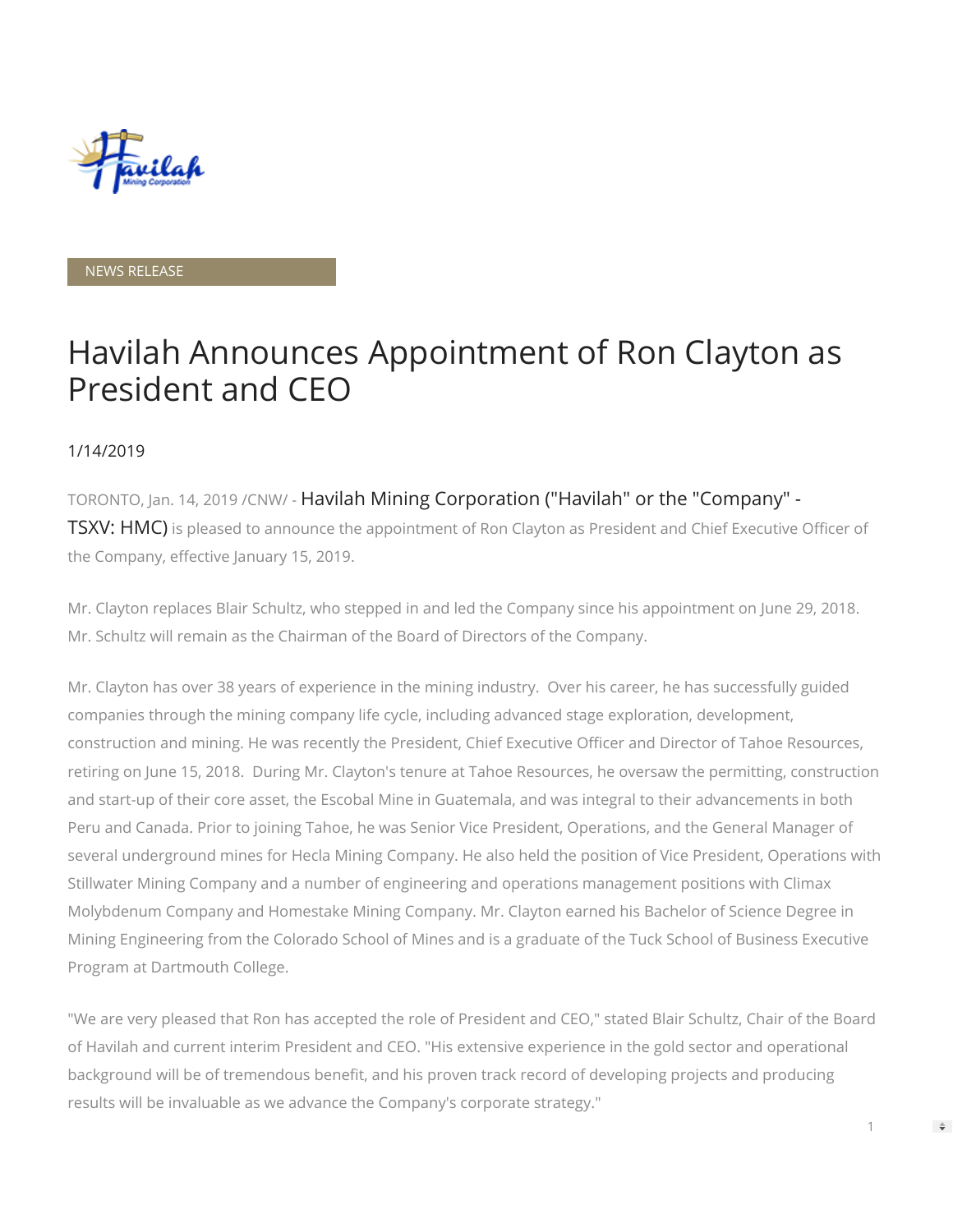

NEWS RELEASE

## Havilah Announces Appointment of Ron Clayton as President and CEO

## 1/14/2019

TORONTO, Jan. 14, 2019 /CNW/ - Havilah Mining Corporation ("Havilah" or the "Company" - TSXV: HMC) is pleased to announce the appointment of Ron Clayton as President and Chief Executive Officer of the Company, effective January 15, 2019.

Mr. Clayton replaces Blair Schultz, who stepped in and led the Company since his appointment on June 29, 2018. Mr. Schultz will remain as the Chairman of the Board of Directors of the Company.

Mr. Clayton has over 38 years of experience in the mining industry. Over his career, he has successfully guided companies through the mining company life cycle, including advanced stage exploration, development, construction and mining. He was recently the President, Chief Executive Officer and Director of Tahoe Resources, retiring on June 15, 2018. During Mr. Clayton's tenure at Tahoe Resources, he oversaw the permitting, construction and start-up of their core asset, the Escobal Mine in Guatemala, and was integral to their advancements in both Peru and Canada. Prior to joining Tahoe, he was Senior Vice President, Operations, and the General Manager of several underground mines for Hecla Mining Company. He also held the position of Vice President, Operations with Stillwater Mining Company and a number of engineering and operations management positions with Climax Molybdenum Company and Homestake Mining Company. Mr. Clayton earned his Bachelor of Science Degree in Mining Engineering from the Colorado School of Mines and is a graduate of the Tuck School of Business Executive Program at Dartmouth College.

"We are very pleased that Ron has accepted the role of President and CEO," stated Blair Schultz, Chair of the Board of Havilah and current interim President and CEO. "His extensive experience in the gold sector and operational background will be of tremendous benefit, and his proven track record of developing projects and producing results will be invaluable as we advance the Company's corporate strategy."

1

 $\Rightarrow$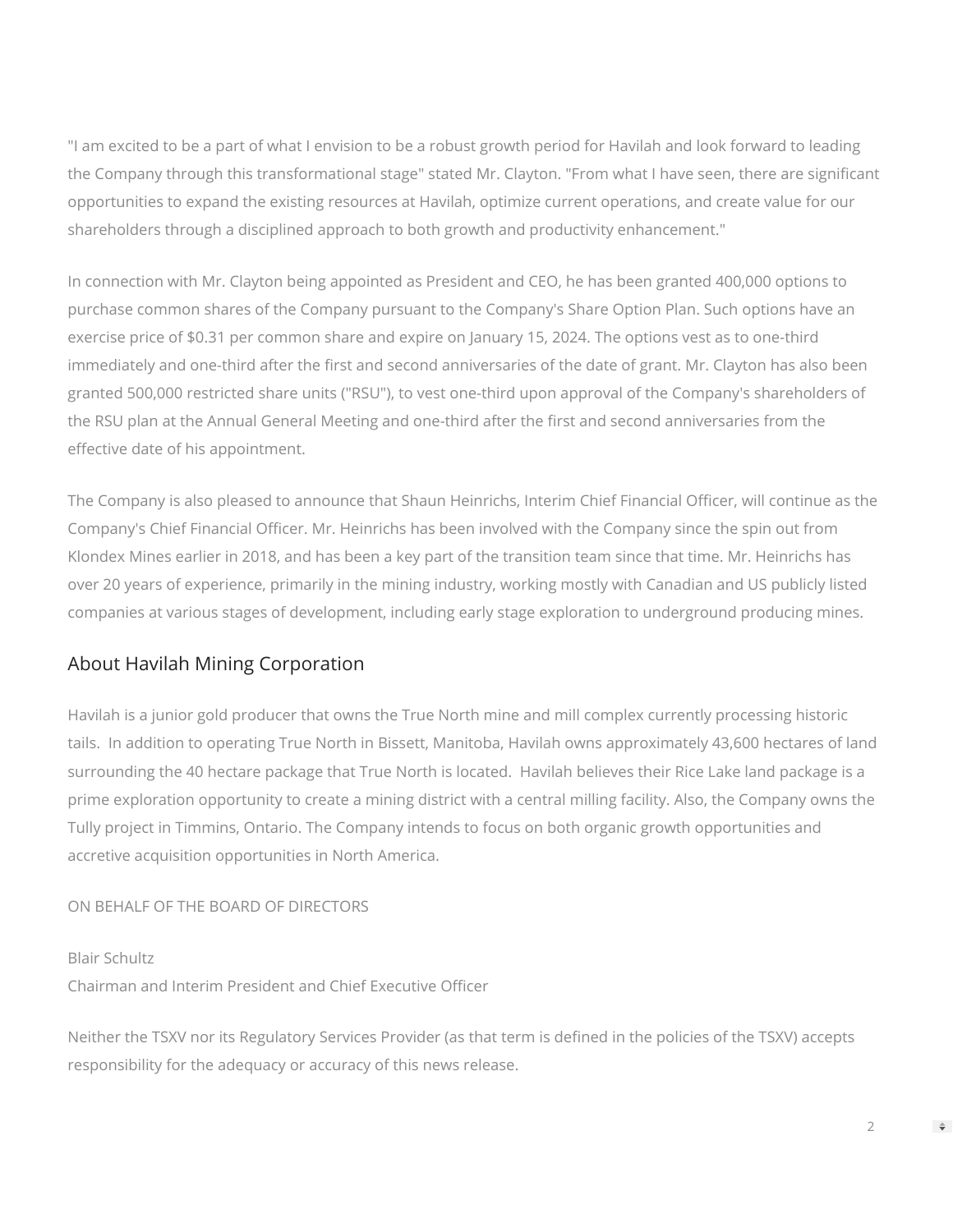"I am excited to be a part of what I envision to be a robust growth period for Havilah and look forward to leading the Company through this transformational stage" stated Mr. Clayton. "From what I have seen, there are significant opportunities to expand the existing resources at Havilah, optimize current operations, and create value for our shareholders through a disciplined approach to both growth and productivity enhancement."

In connection with Mr. Clayton being appointed as President and CEO, he has been granted 400,000 options to purchase common shares of the Company pursuant to the Company's Share Option Plan. Such options have an exercise price of \$0.31 per common share and expire on January 15, 2024. The options vest as to one-third immediately and one-third after the first and second anniversaries of the date of grant. Mr. Clayton has also been granted 500,000 restricted share units ("RSU"), to vest one-third upon approval of the Company's shareholders of the RSU plan at the Annual General Meeting and one-third after the first and second anniversaries from the effective date of his appointment.

The Company is also pleased to announce that Shaun Heinrichs, Interim Chief Financial Officer, will continue as the Company's Chief Financial Officer. Mr. Heinrichs has been involved with the Company since the spin out from Klondex Mines earlier in 2018, and has been a key part of the transition team since that time. Mr. Heinrichs has over 20 years of experience, primarily in the mining industry, working mostly with Canadian and US publicly listed companies at various stages of development, including early stage exploration to underground producing mines.

## About Havilah Mining Corporation

Havilah is a junior gold producer that owns the True North mine and mill complex currently processing historic tails. In addition to operating True North in Bissett, Manitoba, Havilah owns approximately 43,600 hectares of land surrounding the 40 hectare package that True North is located. Havilah believes their Rice Lake land package is a prime exploration opportunity to create a mining district with a central milling facility. Also, the Company owns the Tully project in Timmins, Ontario. The Company intends to focus on both organic growth opportunities and accretive acquisition opportunities in North America.

## ON BEHALF OF THE BOARD OF DIRECTORS

Blair Schultz

Chairman and Interim President and Chief Executive Officer

Neither the TSXV nor its Regulatory Services Provider (as that term is defined in the policies of the TSXV) accepts responsibility for the adequacy or accuracy of this news release.

 $\Rightarrow$